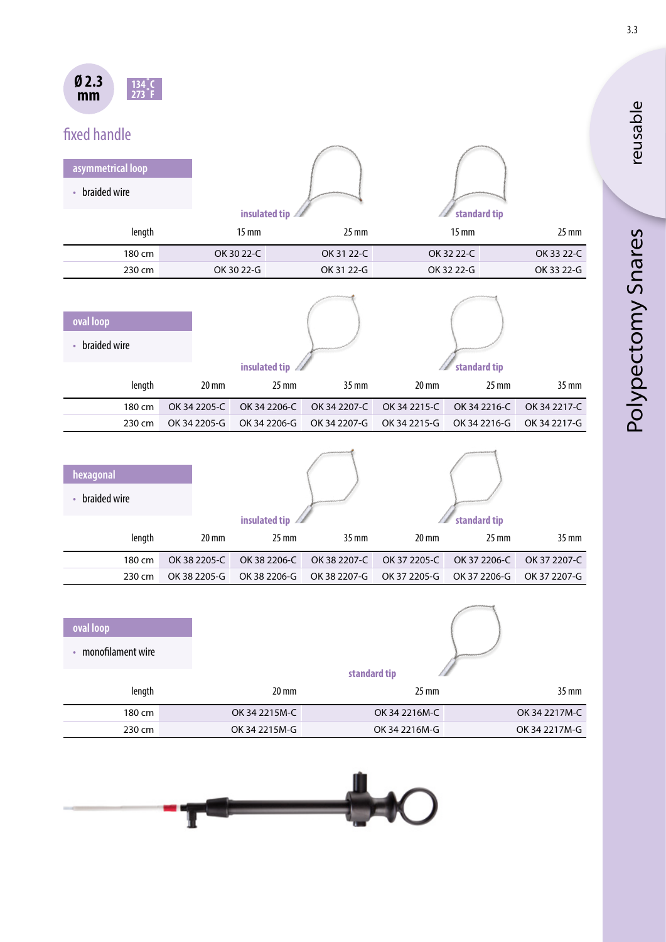

# fixed handle

| asymmetrical loop   |              |              |               |              |                   |              |              |
|---------------------|--------------|--------------|---------------|--------------|-------------------|--------------|--------------|
| • braided wire      |              |              |               |              |                   |              |              |
|                     |              |              | insulated tip |              |                   | standard tip |              |
| length              |              | <b>15 mm</b> |               | 25 mm        |                   | <b>15 mm</b> | $25$ mm      |
| 180 cm              |              | OK 30 22-C   |               | OK 31 22-C   |                   | OK 32 22-C   | OK 33 22-C   |
| 230 cm              |              | OK 30 22-G   |               | OK 31 22-G   |                   | OK 32 22-G   | OK 33 22-G   |
|                     |              |              |               |              |                   |              |              |
| oval loop           |              |              |               |              |                   |              |              |
| • braided wire      |              |              |               |              |                   |              |              |
|                     |              |              | insulated tip |              |                   | standard tip |              |
| length              |              | 20 mm        | 25 mm         | 35 mm        | 20 mm             | 25 mm        | 35 mm        |
| 180 cm              | OK 34 2205-C |              | OK 34 2206-C  | OK 34 2207-C | OK 34 2215-C      | OK 34 2216-C | OK 34 2217-C |
| 230 cm              | OK 34 2205-G |              | OK 34 2206-G  | OK 34 2207-G | OK 34 2215-G      | OK 34 2216-G | OK 34 2217-G |
|                     |              |              |               |              |                   |              |              |
| hexagonal           |              |              |               |              |                   |              |              |
|                     |              |              |               |              |                   |              |              |
| • braided wire      |              |              |               |              |                   |              |              |
|                     |              |              | insulated tip |              |                   | standard tip |              |
| length              |              | 20 mm        | 25 mm         | 35 mm        | $20 \, \text{mm}$ | 25 mm        | 35 mm        |
| 180 cm              | OK 38 2205-C |              | OK 38 2206-C  | OK 38 2207-C | OK 37 2205-C      | OK 37 2206-C | OK 37 2207-C |
| 230 cm              | OK 38 2205-G |              | OK 38 2206-G  | OK 38 2207-G | OK 37 2205-G      | OK 37 2206-G | OK 37 2207-G |
|                     |              |              |               |              |                   |              |              |
| oval loop           |              |              |               |              |                   |              |              |
| • monofilament wire |              |              |               |              |                   |              |              |
|                     |              |              |               | standard tip |                   |              |              |

|               | --------------- |                 |        |
|---------------|-----------------|-----------------|--------|
| 35 mm         | $25 \text{ mm}$ | $20 \text{ mm}$ | length |
| OK 34 2217M-C | OK 34 2216M-C   | OK 34 2215M-C   | 180 cm |
| OK 34 2217M-G | OK 34 2216M-G   | OK 34 2215M-G   | 230 cm |
|               |                 |                 |        |



reusable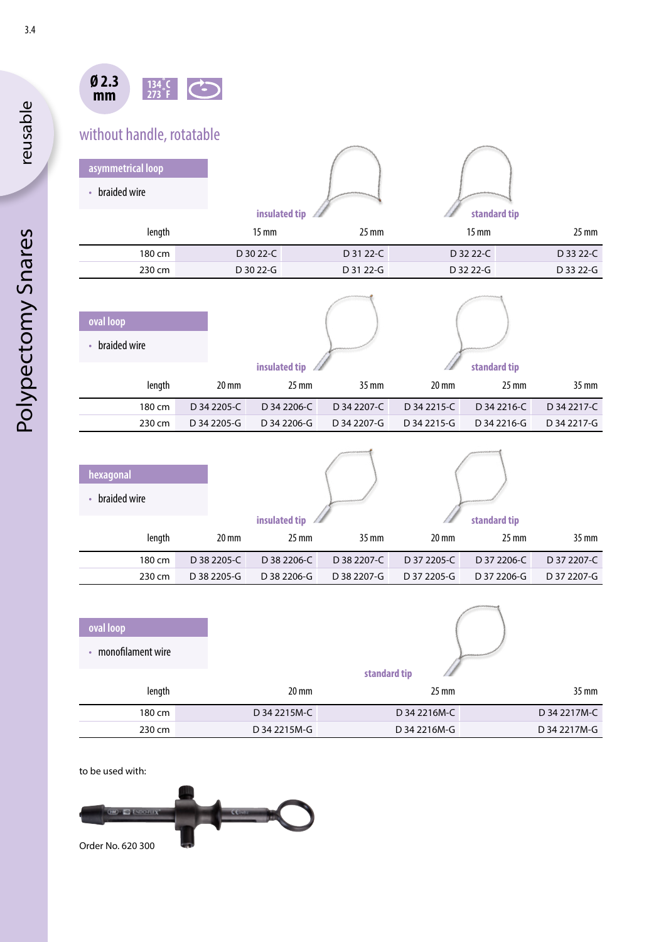

## without handle, rotatable

| asymmetrical loop         |                 |                 |                 |                 |
|---------------------------|-----------------|-----------------|-----------------|-----------------|
| braided wire<br>$\bullet$ |                 |                 |                 |                 |
|                           | insulated tip   |                 | standard tip    |                 |
| length                    | $15 \text{ mm}$ | $25 \text{ mm}$ | $15 \text{ mm}$ | $25 \text{ mm}$ |
| 180 cm                    | D 30 22-C       | D 31 22-C       | D 32 22-C       | D 33 22-C       |
| 230 cm                    | D 30 22-G       | D 31 22-G       | D 32 22-G       | D 33 22-G       |
|                           |                 |                 |                 |                 |
|                           |                 |                 |                 |                 |
| oval loop                 |                 |                 |                 |                 |

| oval loop    |                 |                 |                 |                 |                 |                 |
|--------------|-----------------|-----------------|-----------------|-----------------|-----------------|-----------------|
| braided wire |                 |                 |                 |                 |                 |                 |
|              |                 | insulated tip   |                 |                 | standard tip    |                 |
| length       | $20 \text{ mm}$ | $25 \text{ mm}$ | $35 \text{ mm}$ | $20 \text{ mm}$ | $25 \text{ mm}$ | $35 \text{ mm}$ |
| 180 cm       | D 34 2205-C     | D 34 2206-C     | D 34 2207-C     | D 34 2215-C     | D 34 2216-C     | D 34 2217-C     |
| 230 cm       | D 34 2205-G     | D 34 2206-G     | D 34 2207-G     | D 34 2215-G     | D 34 2216-G     | D 34 2217-G     |

1

1

y.

| hexagonal    |                 |                 |                 |                 |                 |                 |
|--------------|-----------------|-----------------|-----------------|-----------------|-----------------|-----------------|
| braided wire |                 |                 |                 |                 |                 |                 |
|              |                 | insulated tip   |                 |                 | standard tip    |                 |
| length       | $20 \text{ mm}$ | $25 \text{ mm}$ | $35 \text{ mm}$ | $20 \text{ mm}$ | $25 \text{ mm}$ | $35 \text{ mm}$ |
| 180 cm       | D 38 2205-C     | D 38 2206-C     | D 38 2207-C     | D 37 2205-C     | D 37 2206-C     | D 37 2207-C     |
| 230 cm       | D 38 2205-G     | D 38 2206-G     | D 38 2207-G     | D 37 2205-G     | D 37 2206-G     | D 37 2207-G     |

| oval loop         |                 |                 |                 |
|-------------------|-----------------|-----------------|-----------------|
| monofilament wire |                 |                 |                 |
|                   |                 | standard tip    |                 |
| length            | $20 \text{ mm}$ | $25 \text{ mm}$ | $35 \text{ mm}$ |
| 180 cm            | D 34 2215M-C    | D 34 2216M-C    | D 34 2217M-C    |
| 230 cm            | D 34 2215M-G    | D 34 2216M-G    | D 34 2217M-G    |

to be used with:



reusable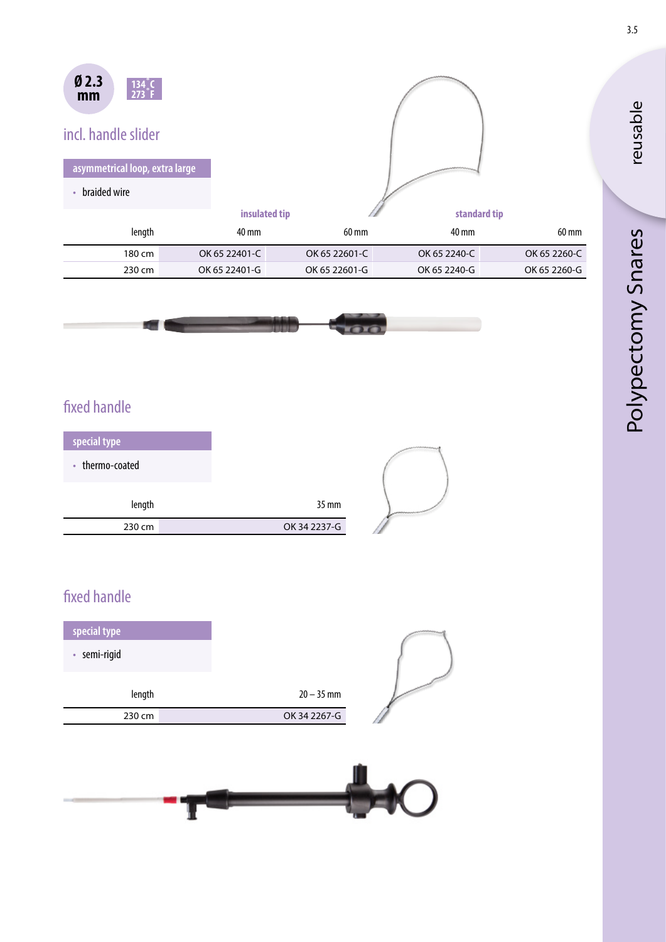| Ø <sub>2.3</sub><br>134 C<br>$273$ <sup>°</sup> F<br>mm |               |               |              |              |
|---------------------------------------------------------|---------------|---------------|--------------|--------------|
| incl. handle slider                                     |               |               |              |              |
| asymmetrical loop, extra large                          |               |               |              |              |
| braided wire                                            |               |               |              |              |
|                                                         | insulated tip |               | standard tip |              |
| length                                                  | 40 mm         | 60 mm         | 40 mm        | 60 mm        |
| 180 cm                                                  | OK 65 22401-C | OK 65 22601-C | OK 65 2240-C | OK 65 2260-C |
| 230 cm                                                  | OK 65 22401-G | OK 65 22601-G | OK 65 2240-G | OK 65 2260-G |



#### fixed handle

| special type    |  |              |
|-----------------|--|--------------|
| • thermo-coated |  |              |
| length          |  | 35 mm        |
| 230 cm          |  | OK 34 2237-G |

### fixed handle

| special type<br>· semi-rigid |              |  |
|------------------------------|--------------|--|
| length                       | $20 - 35$ mm |  |
| 230 cm                       | OK 34 2267-G |  |
|                              |              |  |



3.5

reusable